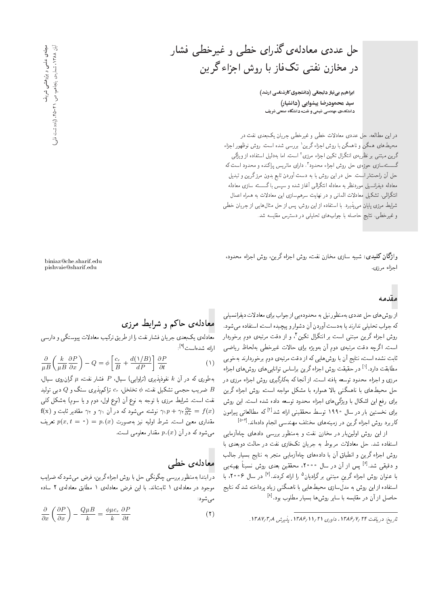ابراهیم بینیاز دلیجانی (دانشجوی کارشناسی ارشد) سید محمودرضا پیشوایی (دانشیار) دانشکدهی مهندسی شیمی و نفت، دانشگاه صنعتی شریف

دراین مطالعه، حل عددی معادلات خطی و غیرخطی جریان یک بعدی نفت در محیط های همگن و ناهمگن با روش اجزاء گرین ' بررسی شده است. روش نوظهور اجزاء گرین مبتنبی بر نظریهی انتگرال تکین اجزاء مرزی ٔ است، اما بهدلیل استفاده از ویژگی گسستهسازی حوزهی حل روش اجزاء محدود "، دارای ماتریس پراکنده و محدود است که حل آن راحت تر است. حل در این روش با به دست آوردن تابع بدون مرز گرین و تبدیل معادله دیفرانسیل موردنظر به معادله انتگرالی آغاز شده و سپس با گسسته سازی معادله انتگرالی، تشکیل معادلات المانی و در نهایت سرهمسازی این معادلات به همراه اعمال شرایط مرزی پایان می،پذیرد. با استفاده از این روش، پس از حل مثال هایی از جریان خطی و غیرخطی، نتایج حاصله با جواب های تحلیلی در دسترس مقایسه شد.

وا**ژگان کلیدی:** شبیه سازی مخازن نفت، روش اجزاء گرین، روش اجزاء محدود، اجزاء مرزى.

### مقدمه

از روش های حل عددی به منظور نیل به محدودهیی از جواب برای معادلات دیفرانسیلی كه جواب تحليلي ندارند يا به دست آوردن آن دشوار و پيچيده است، استفاده مي شود. روش اجزاء گرین مبتنبی است بر انتگرال تکین ٔ و از دقت مرتبهی دوم برخوردار است. اگرچه دقت مرتبهى دوم آن بهويژه براى حالات غيرخطى بهلحاظ رياضى ثابت نشده است، نتایج آن با روش هایی که از دقت مرتبهی دوم برخوردارند بهخوبی مطابقت دارد.<sup>[۱]</sup> در حقیقت روش اجزاء گرین براساس توانایی های روش های اجزاء مرزی و اجزاء محدود توسعه یافته است. از آنجا که بهکارگیری روش اجزاء مرزی در حل محیط های با ناهمگنی بالا همواره با مشکل مواجه است، روش اجزاء گرین برای رفع این اشکال با ویژگی های اجزاء محدود توسعه داده شده است. این روش برای نخستین بار در سال ۱۹۹۰ توسط محققینی ارائه شد<sup>[۲]</sup> که مطالعاتی پیرامون کاربرد روش اجزاء گرین در زمینههای مختلف مهندسی انجام دادهاند.<sup>[۵-۳]</sup>

از این روش اولینبار در مخازن نفت و بهمنظور بررسی دادهای چاهآزمایی استفاده شد. حل معادلات مربوط به جریان تکفاری نفت در حالت دوبعدی با روش اجزاء گرین و انطباق آن با دادههای چاهآزمایی منجر به نتایج بسیار جالب و دقیقی شد.<sup>[۶]</sup> پس از آن در سال ۲۰۰۰، محققین بعدی روش نسبتاً بهینه $_{\omega}$ با عنوان روش اجزاء گرین مبتنبی برگرادیان<sup>۵</sup> را ارائه کردند.<sup>[۷]</sup> در سال ۰۰۶، با استفاده از این روش به مدلسازی محیطهایی با ناهمگنی زیاد پرداخته شدکه نتایج حاصل از آن در مقایسه با سایر روش ها بسیار مطلوب بود.<sup>[۸]</sup>

biniaz@che.sharif.edu pishvaie@sharif.edu

## معادلهی حاکم و شرایط مرزی

.<br>معادله ی یکبعدی جریان فشار نفت را از طریق ترکیب معادلات پیوستگی و دارسی ارائه شدهاست<sup>[۹]</sup>:

$$
\frac{\partial}{\mu} \left( \frac{k}{\mu} \frac{\partial P}{\partial x} \right) - Q = \phi \left[ \frac{c_r}{B} + \frac{d(\sqrt{B})}{dP} \right] \frac{\partial P}{\partial t}
$$
 (1)

بهطوری که در آن & نفوذپذیری (تراوایی) سیال،  $P$  فشار نفت،  $\mu$  گران $\mu$ روی سیال، ضریب حجمی تشکیل نفت،  $\phi$  تخلخل،  $c_r$  تراکمپذیری سنگ و  $Q$  دبی تولید  $B$ نفت است. شرایط مرزی با توجه به نوع آن (نوع اول، دوم و یا سوم) بهشکل کلبی  $f(x)$  نوشته می شود که در آن  $\gamma_1$  و  $\gamma_2$  مقادیر ثابت و  $\gamma_1 p + \gamma_2 \frac{\partial p}{\partial x} = f(x)$ مقداری معین است. شرط اولیه نیز بهصورت  $p_*(x) = p(x, t = 1$  تعریف می شود که در آن  $p_*(x)$  مقدار معلومی است.

#### معادلەي خطے

در ابتدا بهمنظور بررسی چگونگی حل با روش اجزاء گرین، فرض می شود که ضرایب موجود در معادلهی ۱ ثابتاند. با این فرض معادلهی ۱ مطابق معادلهی ۲ ساده مى شود:

$$
\frac{\partial}{\partial x}\left(\frac{\partial P}{\partial x}\right) - \frac{Q\mu}{k} = \frac{\phi\mu c_r}{k}\frac{\partial P}{\partial t}
$$
 (1)

مجلمی علمی و پژوهشی شریف<br>آبان ۱۲۸۸، شماروی پنجاهم. ص. ۲۱-۴۵. (یادداشت فنّی

تاريخ: دريافت ١٣٨۶/٧/٢۴، داورى ١٣/١/١/١٣٨۶، يذيرش ١٣٨٧/٣/١.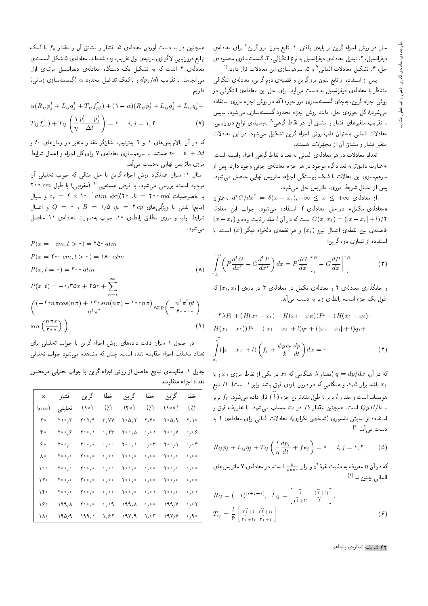حل در روش اجزاء گرین بر پایهی یافتن: ۱. تابع بدون مرز گرین <sup>۶</sup> برای معادلهی دیفرانسیل، ۲. تبدیل معادلهی دیفرانسیل به نوع انتگرالی، ۳.گسستهسازی محدودهی حل، ۴. تشکیل معادلات المانی<sup>۷</sup> و ۵. سرهمسازی این معادلات قرار دارد.<sup>[۱]</sup>

پس از استفاده از تابع بدون مرزگرین و قضیهی دوم گرین، معادلهی انتگرالی متناظر با معادلهی دیفرانسیل به دست می آید. برای حل این معادلهی انتگرالی در روش اجزاء گرین، بهجای گسستهسازی مرز حوزه (که در روش اجزاء مرزی استفاده می شود)، کل حوزهی حل، مانند روش اجزاء محدود گسستهسازی می شود. سپس با تقریب متغیرهای فشار و مشتق آن در نقاط گرهی ^ بهوسیلهی توابع درون یابی، معادلات المانی به عنوان قلب روش اجزاء گرین تشکیل می شود. در این معادلات متغیر فشار و مشتق آن از مجهولات هستند.

تعداد معادلات در هر معادلهي الماني به تعداد نقاط گرهي اجزاء وابسته است. بهعبارت دقیقتر به تعداد گره موجود در هر جزء، معادلهی جزئی وجود دارد. پس از .<br>سرهم سازی این معالات با کمک پیوستگی اجزاء، ماتریس نهایی حاصل میشود. یس از اعمال شرایط مرزی، ماتریس حل می شود.

از معادلهی  $d^{\dagger}G/dx^{\dagger} = \delta(x-x_i), -\infty \leq x \leq +\infty$  به عنوان «معادلهى مكمل» در حل معادلهى ٢ استفاده مى شود. جواب اين معادله  $(x - x_i)$  است که در آن  $l$  مقدار ثابت بوده و  $(|x - x_i| + l)/5$ فاصلهى بين نقطهى اعمال نيرو  $(x_i)$  و هر نقطهى دلخواه ديگر  $(x)$  است. با استفاده از تساوی دوم گرین:

$$
\int_{x_L}^{x_R} \left( P \frac{d^{\dagger} G}{dx^{\dagger}} - G \frac{d^{\dagger} P}{dx^{\dagger}} \right) dx = P \frac{dG}{dx} \Big|_{x_L}^{x_R} - G \frac{dP}{dx} \Big|_{x_L}^{x_R} \tag{7}
$$

و جایگذاری معادلهی ۲ و معادلهی مکمل در معادلهی ۳ در بازهی  $[x_1, x_1]$  که طول یک جزء است، رابطهی زیر به دست می<sup>آ</sup>بد.

$$
- \mathsf{Y}\lambda P_i + (H(x_\mathsf{Y} - x_i) - H(x_i - x_R))P_\mathsf{Y} - (H(x_\mathsf{Y} - x_i) - H(x_i - x_\mathsf{Y}))P_\mathsf{Y} - (|x_\mathsf{Y} - x_i| + l)q_\mathsf{Y} + (|x_\mathsf{Y} - x_i| + l)q_\mathsf{Y} +
$$

$$
\int_{-\infty}^{x_\mathsf{Y}} (|x - x_i| + l) \left( f_p + \frac{\phi\mu c_r}{k} \frac{dp}{dt} \right) dx = \mathsf{o}
$$
(**f**)

که در آن،  $d\,r$   $d\,p/d\,x$  (مقدار ۸ هنگامی که  $x_i$  در یکی از نقاط مرزی  $x$  و یا باشد برابر ۰٬۰۵ و هنگامی که در درون بازهی فوق باشد برابر ۱ است). H تابع هويسايد است و مقدار ! برابر با طول بلندترين جزء ( آ ) قرار داده مى شود.  $f_p$  برابر با  $Q\mu B/k$  است. همچنین مقدار  $P_i$  در  $x_i$  حساب می $\mathring{\mathcal{L}}$ دو با تعاریف فوق و استفاده از نمایش تانسوری (شاخص تکراری)، معادلات المانی برای معادلهی ۴ به دست می آید: <sup>[۴]</sup>

$$
R_{ij}p_j + L_{ij}q_j + T_{ij}\left(\frac{\lambda}{\eta}\frac{dp_j}{dt} + fp_j\right) = \cdot \quad i, j = \lambda, \mathbf{Y} \tag{2}
$$

که در آن  $\eta$  معروف به «ئابت نفوذ $\ell$ » و برابر چه است. در معادله ی ۷ ماتریس های المانى حنين اند: [\*]

$$
R_{ij} = (-1)^{(i+j-1)}, \ L_{ij} = \begin{bmatrix} \tilde{i} & -(\tilde{i}+1) \\ (\tilde{i}+1) & \tilde{i} \end{bmatrix},
$$

$$
T_{ij} = \frac{l}{\epsilon} \begin{bmatrix} \tilde{r} \tilde{i} + t & \tilde{r} \tilde{i} + t \\ \tilde{r} \tilde{i} + t & \tilde{r} \tilde{i} + t \end{bmatrix}
$$
(9)

همچنین در به دست آوردن معادلهی ۵، فشار و مشتق آن و مقدار  $f_p$  با کمک توابع درون یابی لاگرانژی مرتبهی اول تقریب زده شدهاند. معادلهی ۵ شکل گسستهی معادلهی ۲ است که به تشکیل یک دستگاه معادلهی دیفرانسیل مرتبهی اول می انجامد. با تقریب  $dp_j/dt$  و باکمک تفاضل محدود a (گسستهسازی زمانی) داریہ:

$$
\alpha(R_{ij}p_j^{\dagger}+L_{ij}q_j^{\dagger}+T_{ij}f_{pj}^{\dagger})+(\lambda-\alpha)(R_{ij}p_j^{\dagger}+L_{ij}q_j^{\dagger}+L_{ij}q_j^{\dagger}+
$$

$$
T_{ij}f_{pj}^{\lambda}) + T_{ij}\left(\frac{\lambda}{\eta}\frac{p_j^{\tau} - p_j^{\lambda}}{\Delta t}\right) = \cdot \quad i, j = \lambda, \mathbf{Y}
$$
 (Y)

که در آن بالانویس های ۱ و ۲ بهترتیب نشانگر مقدار متغیر در زمان های ۱٫ و هستند. با سرهم سازی معادلهی ۷ برای کل اجزاء و اِعمال شرایط  $t_1 = t_1 + \Delta t$ مرزی ماتریس نهایی بهدست میآید.

مثال ١: میزان عملکرد روش اجزاء گرین با حل مثالی که جواب تحلیلی آن موجود است، بررسی می شود. با فرض هستهیی با (مغزهیی) با طول ۲۰۰ ۲۰۰ با خصوصیات cr = ۴ × ۱۰<sup>-۵</sup> atm (p='/۲۰ (k = ۲۰۰ md ) و سیال (مايع) نفتى با ويژگى هاى ٢ د س س = ١,٥ (مايع) و اعمال شرایط اولیه و مرزی مطابق رابطهی ۱۰، جواب بهصورت معادلهی ۱۱ حاصل مے شود.

$$
P(x = \circ cm, t > \circ) = 10 \circ atm
$$
  
\n
$$
P(x = 10 \circ cm, t > \circ) = 10 \circ atm
$$
  
\n
$$
P(x, t = \circ) = 10 \circ atm
$$
  
\n
$$
P(x, t) = -\circ/10x + 10 \circ + \sum_{n=1}^{\infty} \left( \frac{(-1000 \cdot m\pi) - 1000 \cdot n\pi}{n^2\pi^2} \right)
$$
  
\n
$$
\sin\left(\frac{n\pi x}{100}\right)
$$
  
\n(1)

در جدول ۱ میزان دقت دادههای روش اجزاء گرین با جواب تحلیلی برای تعداد مختلف اجزاء مقايسه شده است. چنان كه مشاهده مى شود جواب تحليلى

جدول ۱. مقایسهی نتایج حاصل از روش اجزاء گرین با جواب تحلیلی درحضور تعداد اجزاء متفاوت.

| x          | فشار                                      | گر ين                          | خطا                        | گر ين                                      | خطا                               | گر ين                                     | خطا                              |
|------------|-------------------------------------------|--------------------------------|----------------------------|--------------------------------------------|-----------------------------------|-------------------------------------------|----------------------------------|
| $\rm (cm)$ | تحليلى                                    | (10)                           | $\left(\frac{1}{2}\right)$ | (50)                                       | $\left(\frac{1}{2}\right)$        | (100)                                     | (7)                              |
| ٢۰         | ۲۱۰٫۳                                     | ۲۰۲٬۴                          | ۳,۷۷                       | $\mathbf{Y} \cdot \mathbf{Q} / \mathbf{Y}$ | ۲٫۴۰                              | ۲۰۵٬۹                                     | $\mathsf{Y}_\ell$ \ $\circ$      |
| ۴۰         | ۰۰٫۶ م                                    | ۱ ، ۲۰ م                       | $\cdot$ , $\mathsf{rr}$    | ۰۰٫۵                                       | $\cdot$ $\prime$ $\cdot$ $\prime$ | ۷٬ ۰٫۷                                    | ۰,۰۶                             |
| ه ۶        | ۰٫۰ م                                     | $\mathbf{Y} \cdot \cdot \cdot$ | 0/0.0                      | ۱ ، ۲۰۰                                    | ۰,۰۳                              | ۱، ۲۰۰                                    | $\circ$ , $\circ$ $\mathfrak{f}$ |
| ٨٠         | ۰٫۰ م۲                                    | ۰٫۰ م۲                         | 0/0.0                      | $\mathbf{Y} \circ \circ \mathbf{y} \circ$  | 0/0.0                             | ۰٫۰ م۲                                    | 0/0.0                            |
| ه ۱        | $\mathbf{Y} \circ \circ \mathbf{y} \circ$ | ۰٫۰ م۲                         | 0/0.0                      | $\mathbf{Y} \circ \cdot \cdot \cdot$       | 0/0.0                             | $\mathbf{Y} \circ \circ \mathbf{y} \circ$ | 0/0.0                            |
| ۱۲۰        | ۰٫۰ م۲                                    | ۰٫۰ م۲                         | 0/0.0                      | $\mathbf{Y} \circ \circ \mathbf{y} \circ$  | 0/0.0                             | ۰٫۰ م۲                                    | 0/0.0                            |
| ۱۴۰        | $\mathbf{Y} \circ \circ \mathbf{y} \circ$ | ۰٫۰ م۲                         | 0/0.0                      | ۰٫۰ م۲                                     |                                   | ۰٫۰ م۲                                    | $\circ$ / $\circ$ )              |
| ۱۶۰        | ۱۹۹٫۸                                     | ۰٫۰ م۲                         | $\cdot$ , $\cdot$ 9        | ۱۹۹٫۸                                      | 0/0.0                             | ۱۹۹,۷                                     | $\circ$ , $\circ$ $\mathsf{Y}$   |
| ١٨٠        | ۱۹۵٬۹                                     | ۱۹۹٫۱                          | ۱٬۶۲                       | ۱۹۷٬۹                                      | ۰٫۰۳                              | ۱۹۷٬۷                                     | $\cdot$ , 9, $\cdot$             |

۴۲ شریف شمارهی پنجاهم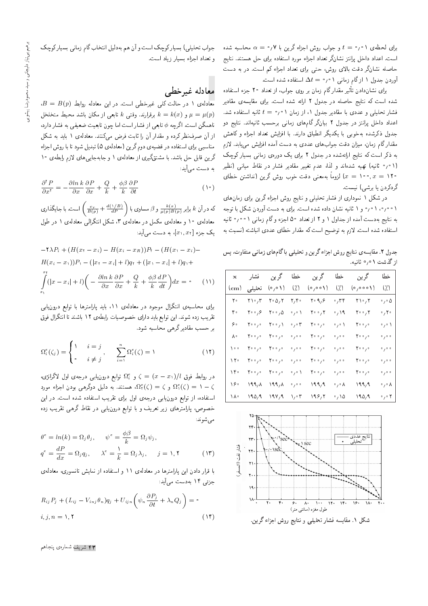برای لحظهی ۰ قرم = t و جواب روش اجزاء گرین با ۰٫۷ ه = a محاسبه شده است. اعداد داخل پرانتز نشانگر تعداد اجزاء مورد استفاده برای حل هستند. نتایج حاصله نشانگر دقت بالای روش، حتبی برای تعداد اجزاء کم است. در به دست آوردن جدول ۱ ازگام زمانی ۰٫۰۱  $\Delta t = \Delta t$  استفاده شده است.

برای نشان۵دادن تأثیر مقدارگام زمان بر روی جواب، از تعداد ۲۰ جزء استفاده<br>است که مطول استکشار است که از مقدار میشود. شده است که نتایج حاصله در جدول ۲ ارائه شده است. برای مقایسهی مقادیر فشار تحلیلمی و عددی با مقادیر جدول ۱، از زمان ۱۰٫۱ = $t=t^*$  ثانیه استفاده شد. اعداد داخل برانتز در جدول ۲ بیانگر گامهای زمانی برحسب ثانیهاند. نتایج دو جدول ذکرشده بهخوبی با یکدیگر انطباق دارند. با افزایش تعداد اجزاء و کاهش مقدارگام زمان، میزان دقت جوابهای عددی به دست آمده افزایش می یابد. لازم به ذکر است که نتایج ارائهشده در جدول ۲ برای یک دورهی زمانی بسیار کوچک (۰٫۰۱ ثانیه) تهیه شدهاند و لذا، عدم تغییر مقادیر فشار در نقاط میان<sub>ی</sub> (نظیر 10°, ∞ = 10) لزوماً بهمعنى دقت خوب روش گرين (نداشتن خطاى<br>گچرى استىمايد گردکردن یا برشی) نیست.

در شکل ۱ نموداری از فشار تحلیلی و نتایج روش اجزاء گرین برای زمان های ۰٫۰٫۱۰٫۰۱ و ۱ ثانیه نشان داده شده است. برای به دست آوردن شکل با توجه به نتايج بهدست آمده از جداول ۱ و ۲ از تعداد ۵۰ اجزء وگام زمانی ۱ <sup>ه م</sup>/° ثانيه استفاده شده است. لازم به توضیح است که مقدار خطای عددی انباشته (نسبت به

جدول ۲. مقایسهی نتایج روش اجزاء گرین و تحلیلی باگامهای زمانی متفاوت، پس از گذشت ۱ ۰٫۰ ثانیه.

| $\mathbf{x}$           | فشار                                      | گر ين   | خطا                            | گر ين                  | خطا                               | گر ين                                        | خطا                                      |
|------------------------|-------------------------------------------|---------|--------------------------------|------------------------|-----------------------------------|----------------------------------------------|------------------------------------------|
| $\rm \left( cm\right)$ | تحليلى                                    | (۱ ۰٫۰) | $\binom{1}{k}$                 | (۱ ۰ ۰ <sub>۱</sub> ۰) | $\left(\frac{1}{2}\right)$        | $(\circ \circ \circ \circ \wedge)$           | $\binom{7}{2}$                           |
| ه ۲                    | ۲۱۰٬۳                                     | ۲۰ ۵٬ ۲ | ۲٬۴۰                           | ۲۰۹٫۶                  | ۲۴، ۰                             | ۲۱۰٫۲                                        | $\cdot$ , $\cdot$ $\Delta$               |
| ۴۰                     | $\mathbf{Y} \cdot \cdot \cdot \mathbf{S}$ | ۰۰٫۵    | 。い                             | ۲۰۰٫۲                  | $\cdot$ , \ ٩                     | ۲۰۰٫۲                                        | $\cdot$ , $\cdot$                        |
| ه ۶                    | $\mathbf{Y} \circ \circ \mathbf{y} \circ$ | ۱، ۲۰۰  | $\cdot$ , $\cdot$ $\mathsf{r}$ | ۰٫۰ م                  | $\mathfrak{g} \circ \mathfrak{g}$ | $\mathbf{Y} \circ \circ_{\mathcal{F}} \circ$ | $\mathfrak{g}_{\ell} \circ \mathfrak{h}$ |
| ۸۰                     | ۰٫۰ م۲                                    | ۰٫۰ م۲  | 0/0.0                          | ۰٫۰ م۲                 | 0/0.0                             | $\mathbf{Y} \circ \circ \mathbf{y} \circ$    | 0/0.0                                    |
| ه ۱                    | ۰٫۰ م۲                                    | ۰٫۰ م۲  | 0/0.0                          | ۰٫۰ م۲                 | 0/0.0                             | ۰٫۰ م                                        | 0/0.0                                    |
| ۱۲۰                    | ۰٫۰ م۲                                    | ۰٫۰ م۲  | 0/0.0                          | ۰٫۰ م۲                 | 0/0.0                             | ۰٫۰ م                                        | 0/0.0                                    |
| ۱۴۰                    | ۰٫۰ م۲                                    | ۰٫۰ م۲  | 。い                             | ۰٫۰ م۲                 | 0/0.0                             | ۰٫۰ م۲                                       | 0/0.0                                    |
| ۱۶۰                    | ۱۹۹٫۸                                     | ۱۹۹٫۸   | 0/0.0                          | ۹۹٫۹                   | $\circ$ $\prime$ $\circ$ $\land$  | ۹۹٫۹                                         | ◦ / ◦ ∧                                  |
| ١٨٠                    | ۹۵٬۹                                      | ۹۷٬۹    | ۰٫۰۳                           | ۱۹۶٬۲                  | ۰٬۱۵                              | ۹۵٬۹                                         | $\circ$ , $\circ$ $\mathsf{Y}$           |



شکل ۱. مقایسه فشار تحلیلی و نتایج روش اجزاء گرین.

جواب تحليلي) بسيار كوچك است و آن هم به دليل انتخاب گام زماني بسيار كوچك و تعداد اجزاء بسيار زياد است.

### معادله غيرخطي

 $B = B(p)$  معادلهی ۱ در حالت کلی غیرخطی است. در این معادله روابط برقرارند. وقتى  $k$  تابعى از مكان باشد محيط متخلخل  $k = k(x)$  برقرارند. وقتى  $\mu = \mu(p)$ ناهمگن است. اگرچه ¢ تابعي از فشار است اما چون تابعيت ضعيفي به فشار دارد، از آن صرف نظر کرده و مقدار آن را ثابت فرض میکنند. معادله ی ۱ باید به شکل مناسبی برای استفاده در قضیهی دوم گرین (معادلهی ۵) تبدیل شود تا با روش اجزاء گرین قابل حل باشد. با مشتقگیری از معادلهی ۱ و جابهجایی های لازم رابطهی ۱۰ به دست می[ید:

$$
\frac{\partial^{\mathsf{T}} P}{\partial x^{\mathsf{T}}} = -\frac{\partial \ln k}{\partial x} \frac{\partial P}{\partial x} + \frac{Q}{k} + \frac{\phi \beta}{k} \frac{\partial P}{\partial t} \tag{1}
$$

که در آن k برابر  $\frac{c_r}{\mu(p)B(p)}+\frac{d(\gamma/B)}{dP}$  و  $\beta$  مساوی با  $\left(\frac{c_r}{B(p)}+\frac{d(\gamma/B)}{dP}\right)$  است. با جایگذاری معادله ی ۱۰ و معادلهی مکمل در معادلهی ۳، شکل انتگرالی معادلهی ۱ در طول  $[x_1, x_1]$ یک جزء  $[x_1, x_1]$ ، به دست می

$$
- \nabla \lambda P_i + (H(x_1 - x_i) - H(x_i - x_R))P_1 - (H(x_1 - x_i) - H(x_i - x_1))P_1 - (|x_1 - x_i| + l)q_1 + (|x_1 - x_i| + l)q_1 +
$$
  

$$
\int_{x_1}^{x_1} (|x - x_i| + l) \left( -\frac{\partial \ln k}{\partial x} \frac{\partial P}{\partial x} + \frac{Q}{k} + \frac{\phi \beta}{k} \frac{dP}{dt} \right) dx = \cdot \tag{1}
$$

برای محاسبهی انتگرال موجود در معادلهی ۱۱، باید پارامترها با توابع درون یابی تقريب زده شوند. اين توابع بايد داراى خصوصيات رابطهى ١٢ باشند تا انتگرال فوق بر حسب مقادیر گرهی محاسبه شود.

$$
\Omega_i^{\epsilon}(\zeta_j) = \begin{cases} \n\lambda & i = j \\ \n\cdot & i \neq j \n\end{cases}, \quad \sum_{i=1}^n \Omega_i^{\epsilon}(\zeta) = \n\lambda \tag{17}
$$

 $\zeta=(x-x_1)/l$  در روابط فوق  $l/(l^*s)=\zeta=\zeta^2$  توابع درون $l$ یس درجه $\zeta=\zeta^2$ رانژی، د د کا او کا  $\Omega^{\epsilon}_{\tau}(\zeta) = \zeta$  هستند. به دلیل دوگرهی بودن اجزاء مورد  $\Omega^{\epsilon}_{\tau}(\zeta) = 1$ استفاده، از توابع درون یابی درجهی اول برای تقریب استفاده شده است. در این خصوص، پارامترهای زیر تعریف و با توابع درونLابی در نقاط گرهی تقریب زده مى شوند:

$$
\theta^e = \ln(k) = \Omega_j \theta_j, \qquad \psi^e = \frac{\phi \beta}{k} = \Omega_j \psi_j,
$$
  

$$
q^e = \frac{dP}{dx} = \Omega_j q_j, \qquad \lambda^e = \frac{1}{k} = \Omega_j \lambda_j, \qquad j = \lambda, \mathbf{Y}
$$
 (17)

با قرار دادن این پارامترها در معادلهی ۱۱ و استفاده از نمایش تانسوری، معادلهی جزئی ۱۴ به**دست** می]ًید:

$$
R_{ij}P_j + (L_{ij} - V_{inj}\theta_n)q_j + U_{ijn}\left(\psi_n\frac{\partial P_j}{\partial t} + \lambda_n Q_j\right) = \circ
$$
  
*i, j, n = \lambda, \Upsilon* (15)

۴۳ شریف شمارهی پنجاهم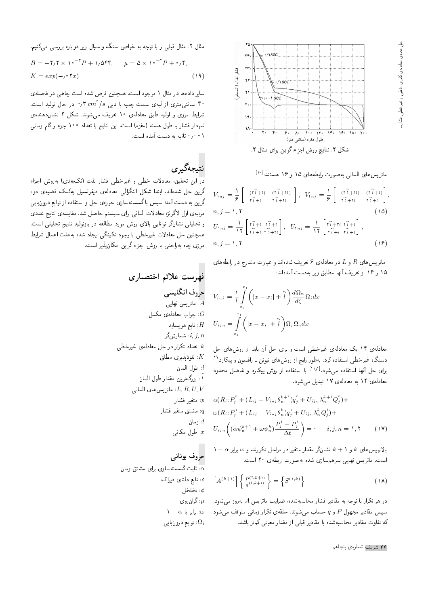

ماتریس های المان<sub>ی</sub> به صورت رابطه های ۱۵ و ۱۶ هستند:<sup>[۱۰]</sup><br>.

$$
V_{n,j} = \frac{1}{\epsilon} \begin{bmatrix} -(\tilde{r} \tilde{i} + t) & -(\tilde{r} \tilde{i} + \tilde{r}t) \\ \tilde{r} \tilde{i} + t & \tilde{r} \tilde{i} + \tilde{r}t \end{bmatrix}, \quad V_{n,j} = \frac{1}{\epsilon} \begin{bmatrix} -(\tilde{r} \tilde{i} + \tilde{r}t) & -(\tilde{r} \tilde{i} + t) \\ \tilde{r} \tilde{i} + \tilde{r}t & \tilde{r} \tilde{i} + t \end{bmatrix},
$$
  
\n
$$
n, j = 1, \text{ Y}
$$
\n
$$
U_{n,j} = \frac{1}{11} \begin{bmatrix} \tilde{r} \tilde{i} + t & \tilde{r} \tilde{i} + t \\ \tilde{r} \tilde{i} + t & \tilde{r} \tilde{i} + t \end{bmatrix}, \quad U_{n,j} = \frac{1}{11} \begin{bmatrix} \tilde{r} \tilde{i} + \tilde{r}t & \tilde{r} \tilde{i} + t \\ \tilde{r} \tilde{i} + t & \tilde{r} \tilde{i} + t \end{bmatrix},
$$
  
\n
$$
n, j = 1, \text{ Y}
$$
\n
$$
(1\epsilon)
$$

ماتریس،های  $R$  و  $L$  در معادلهی ۶ تعریف شدهاند و عبارات مندرج در رابطههای ۱۵ و ۱۶ از تعریف آنها مطابق زیر بهدست آمدهاند:

$$
V_{inj} = \frac{1}{l} \int_{x_1}^{x_1} \left( |x - x_i| + \widetilde{l} \right) \frac{d\Omega_n}{d\zeta} \Omega_j dx
$$

$$
U_{ijn} = \int_{x_1}^{x_1} \left( |x - x_i| + \widetilde{l} \right) \Omega_j \Omega_n dx
$$

معادلهی ۱۴ یک معادلهی غیرخطی است و برای حل آن باید از روش های حل دستگاه غیرخطی استفاده کرد. بهطور رایج از روش های نیوتن - رافسون و پیکارد ``<br>استان آنها با بین استفاده کرد. ادانا با بین استان می کند که برای حل آنها استفاده میشود.<sup>[۱۰ز۱]</sup> با استفاده از روش پیکارد و تفاضل محدود<br>با باید محمد با باید ۱۷۰ میلید معادلهى ١٢ به معادلهى ١٧ تبديل مى شود.

$$
\alpha(R_{ij}P_j^{\dagger} + (L_{ij} - V_{inj}\theta_n^{k+1})q_j^{\dagger} + U_{ijn}\lambda_n^{k+1}Q_j^{\dagger}) +
$$
  
\n
$$
\omega(R_{ij}P_j^{\dagger} + (L_{ij} - V_{inj}\theta_n^k)q_j^{\dagger} + U_{ijn}\lambda_n^kQ_j^{\dagger}) +
$$
  
\n
$$
U_{ijn}\left((\alpha\psi_n^{k+1} + \omega\psi_n^k)\frac{P_j^{\dagger} - P_j^{\dagger}}{\Delta t}\right) = \text{, } i, j, n = 1, \text{ (IV)}
$$

1 Q@=Q@ ! w 'OvQ=QmD pL=Qt QO Q}eDt Q=Okt Qou=Wv <sup>k</sup> <sup>+</sup> 1 w <sup>k</sup> |=yT}wvq=@ است. ماتريس نهايي سرهم سازى شده به صورت رابطهى ٢٥ است.

$$
\left[A^{(k+1)}\right] \left\{ P_{q^{(\tau,k+1)}}^{(\tau,k+1)} \right\} = \left\{ S^{(\tau,k)} \right\} \tag{1A}
$$

در هر تکرار با توجه به مقادیر فشار محاسبهشده، ضرایب ماتریس A بهروز مه شود. سپس مقادیر مجهول P و q حساب میشوند. حلقهی تکرار زمانی متوقف می شود که تفاوت مقادیر محاسبهشده با مقادیر قبلی از مقدار معینی کم تر باشد.

۴۴ شریف شمارهی پنجاهم

مثال ۲: مثال قبلی را با توجه به خواص سنگ و سیال زیر دوباره بررسی میکنیم.

$$
B = -\mathbf{Y}_1 \mathbf{Y} \times \mathbf{V} \cdot \mathbf{V} \cdot \mathbf{Y} + \mathbf{V}_1 \Delta \mathbf{Y} \mathbf{Y}, \qquad \mu = \Delta \times \mathbf{V} \cdot \mathbf{V} \cdot \mathbf{Y} + \mathbf{V}_1 \mathbf{Y},
$$
  
\n
$$
K = exp(-\mathbf{V} \cdot \mathbf{Y} \cdot \mathbf{X})
$$
\n(14)

سایر دادهها در مثال ۱ موجود است. همچنین فرض شده است چاهی در فاصلهی ۴۰ سانتی،متری از لبهی سمت چپ با دبیی ۰٫۳cm<sup>۲</sup>/۶ در حال تولید است.<br>مراجات شرایط مرزی و اولیه طبق معادلهی ۱۰ تعریف می شوند. شکل ۲ نشاندهندهی نمودار فشار با طول هسته (مغزه) است. این نتایج با تعداد °۱۰ جزء و گام زمان<sub>ی</sub> \ ٠٥٥م ثانيه به دست آمده است.

# نتىجەگىرى

در این تحقیق، معادلات خطی و غیرخطی فشار نفت (تکبعدی) بهروش اجزاء گرین حل شدهاند. ابتدا شکل انتگرالی معادلهی دیفرانسیل بهکمک قضیهی دوم گرین به دست آمد؛ سپس با گسستهسازی حوزهی حل و استفاده از توابع درون،یابی مرتبهى اول لاگرانژ، معادلات المانى براى سيستم حاصل شد. مقايسهى نتايج عددى و تحلیلی نشانگر توانایی بالای روش مورد مطالعه در بازتولید نتایج تحلیلی است. همچنین حل معادلات غیرخطی با وجود تکینگی ایجاد شده بهعلت اعمال شرایط مرزى چاه بهراحتى با روش اجزاء گرين امكان يذير است.

|Q=YDN= sqa CUQyi

<sub>حرو</sub>ف انگلیسی ا ماتريس نهايى: $A$  $G$  جواب معادلهی مکمل: تابع هويسايد  $H$ : شمارشگر: $i, \, j, \, n$ : تعداد تکرار در حل معادلهى غيرخطى ا نفوذيذيرى مطلق: $K$  $l: d_e$ ي المان  $l$ بزرگ ترین مقدار طول المان:  $\widetilde{l}$ <br>محمد محمد العامل المانى: $L,R,U,V$ : متغیر فشار: $p$ و مشتق متغیر فشار: $q$  $i$  ; مان : طول مکانی  $x$ 

#### حروف يونانبي

 $\alpha$ : ئابت گسستهسازی برای مشتق زمان ا تابع دلتای دیراک $\delta$ : تخلخل ا: گران روی $\mu$  $\lambda = \alpha$  : برابر با  $\omega$ توابع درون $\Omega_i$